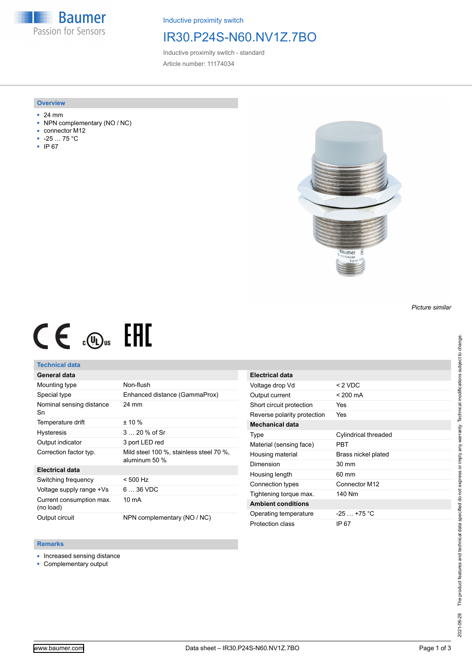**Baumer** Passion for Sensors

Inductive proximity switch

## IR30.P24S-N60.NV1Z.7BO

Inductive proximity switch - standard Article number: 11174034

#### **Overview**

- 24 mm
- NPN complementary (NO / NC)
- connector M12
- -25 … 75 °C
- IP 67



# $CE \mathcal{L}$  (Dus FRE

#### **Technical data**

### **General data**

| Mounting type                         | Non-flush                                                |
|---------------------------------------|----------------------------------------------------------|
| Special type                          | Enhanced distance (GammaProx)                            |
| Nominal sensing distance<br>Sn        | 24 mm                                                    |
| Temperature drift                     | $± 10 \%$                                                |
| <b>Hysteresis</b>                     | $320%$ of Sr                                             |
| Output indicator                      | 3 port LED red                                           |
| Correction factor typ.                | Mild steel 100 %, stainless steel 70 %,<br>aluminum 50 % |
| <b>Electrical data</b>                |                                                          |
| Switching frequency                   | $< 500$ Hz                                               |
| Voltage supply range +Vs              | $636$ VDC                                                |
| Current consumption max.<br>(no load) | 10 mA                                                    |
| Output circuit                        | NPN complementary (NO / NC)                              |

| Electrical data             |                      |
|-----------------------------|----------------------|
| Voltage drop Vd             | $< 2$ VDC            |
| Output current              | < 200 mA             |
| Short circuit protection    | Yes                  |
| Reverse polarity protection | Yes                  |
| Mechanical data             |                      |
| Type                        | Cylindrical threaded |
| Material (sensing face)     | PRT                  |
| Housing material            | Brass nickel plated  |
| Dimension                   | $30 \text{ mm}$      |
| Housing length              | 60 mm                |
| Connection types            | Connector M12        |
| Tightening torque max.      | 140 Nm               |
| <b>Ambient conditions</b>   |                      |
| Operating temperature       | $-25$ $+75$ °C       |
| Protection class            | IP 67                |

#### **Remarks**

- Increased sensing distance
- Complementary output

*Picture similar*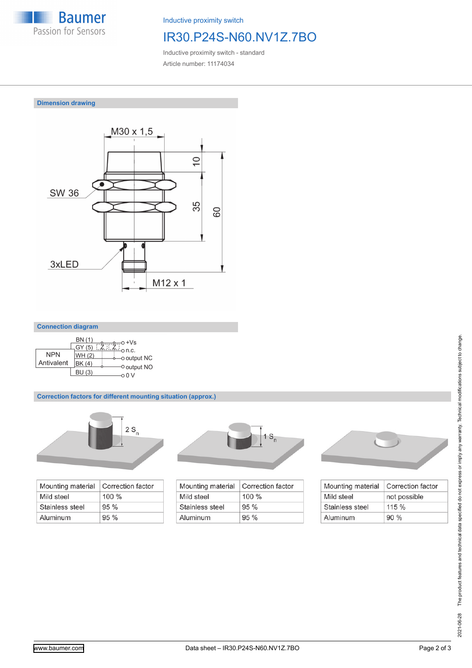

Inductive proximity switch

## IR30.P24S-N60.NV1Z.7BO

Inductive proximity switch - standard Article number: 11174034

**Dimension drawing**



#### **Connection diagram**

|            | BN (1)<br>GY (5) | $+VS$                |
|------------|------------------|----------------------|
| <b>NPN</b> | WH (2)           | n.c.<br>-o output NC |
| Antivalent | BK (4)           | O output NO          |
|            | <b>BU (3)</b>    |                      |

#### **Correction factors for different mounting situation (approx.)**



| Mounting material | Correction factor |
|-------------------|-------------------|
| Mild steel        | $100 \%$          |
| Stainless steel   | 95%               |
| Aluminum          | 95%               |



| Mounting material | Correction factor |
|-------------------|-------------------|
| Mild steel        | $100\%$           |
| Stainless steel   | 95%               |
| Aluminum          | 95%               |



| Mounting material | Correction factor |
|-------------------|-------------------|
| Mild steel        | not possible      |
| Stainless steel   | 115%              |
| Aluminum          | 90%               |